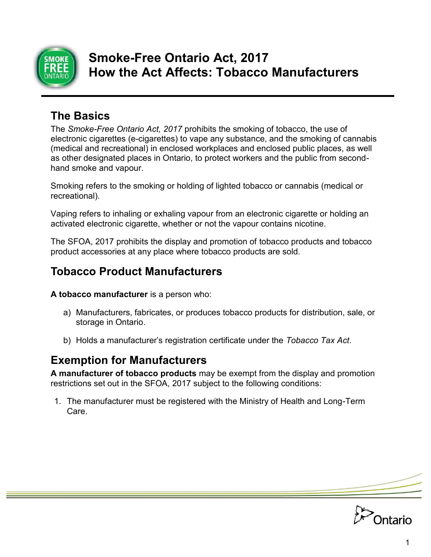

# **Smoke-Free Ontario Act, 2017 How the Act Affects: Tobacco Manufacturers**

## **The Basics**

The *Smoke-Free Ontario Act, 2017* prohibits the smoking of tobacco, the use of electronic cigarettes (e-cigarettes) to vape any substance, and the smoking of cannabis (medical and recreational) in enclosed workplaces and enclosed public places, as well as other designated places in Ontario, to protect workers and the public from secondhand smoke and vapour.

Smoking refers to the smoking or holding of lighted tobacco or cannabis (medical or recreational).

Vaping refers to inhaling or exhaling vapour from an electronic cigarette or holding an activated electronic cigarette, whether or not the vapour contains nicotine.

The SFOA, 2017 prohibits the display and promotion of tobacco products and tobacco product accessories at any place where tobacco products are sold.

### **Tobacco Product Manufacturers**

**A tobacco manufacturer** is a person who:

- a) Manufacturers, fabricates, or produces tobacco products for distribution, sale, or storage in Ontario.
- b) Holds a manufacturer's registration certificate under the *Tobacco Tax Act*.

#### **Exemption for Manufacturers**

**A manufacturer of tobacco products** may be exempt from the display and promotion restrictions set out in the SFOA, 2017 subject to the following conditions:

1. The manufacturer must be registered with the Ministry of Health and Long-Term Care.

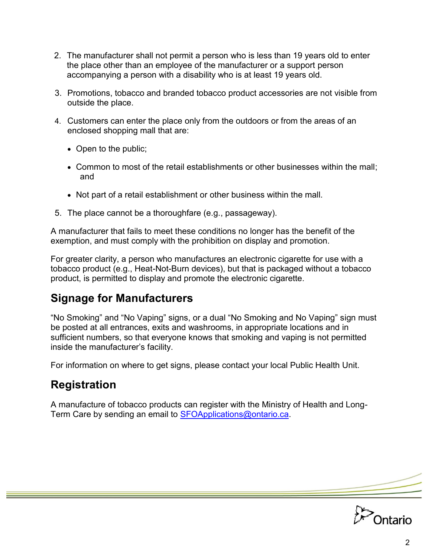- 2. The manufacturer shall not permit a person who is less than 19 years old to enter the place other than an employee of the manufacturer or a support person accompanying a person with a disability who is at least 19 years old.
- 3. Promotions, tobacco and branded tobacco product accessories are not visible from outside the place.
- 4. Customers can enter the place only from the outdoors or from the areas of an enclosed shopping mall that are:
	- Open to the public;
	- Common to most of the retail establishments or other businesses within the mall; and
	- Not part of a retail establishment or other business within the mall.
- 5. The place cannot be a thoroughfare (e.g., passageway).

A manufacturer that fails to meet these conditions no longer has the benefit of the exemption, and must comply with the prohibition on display and promotion.

For greater clarity, a person who manufactures an electronic cigarette for use with a tobacco product (e.g., Heat-Not-Burn devices), but that is packaged without a tobacco product, is permitted to display and promote the electronic cigarette.

# **Signage for Manufacturers**

"No Smoking" and "No Vaping" signs, or a dual "No Smoking and No Vaping" sign must be posted at all entrances, exits and washrooms, in appropriate locations and in sufficient numbers, so that everyone knows that smoking and vaping is not permitted inside the manufacturer's facility.

For information on where to get signs, please contact your local Public Health Unit.

## **Registration**

A manufacture of tobacco products can register with the Ministry of Health and Long-Term Care by sending an email to [SFOApplications@ontario.ca.](mailto:SFOApplications@ontario.ca)